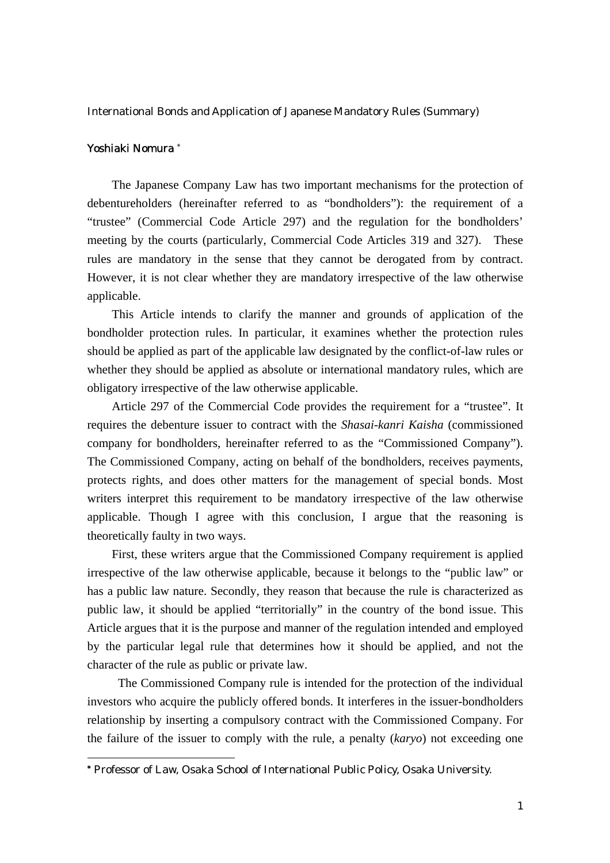International Bonds and Application of Japanese Mandatory Rules (Summary)

## Yoshiaki Nomura \*

The Japanese Company Law has two important mechanisms for the protection of debentureholders (hereinafter referred to as "bondholders"): the requirement of a "trustee" (Commercial Code Article 297) and the regulation for the bondholders' meeting by the courts (particularly, Commercial Code Articles 319 and 327). These rules are mandatory in the sense that they cannot be derogated from by contract. However, it is not clear whether they are mandatory irrespective of the law otherwise applicable.

This Article intends to clarify the manner and grounds of application of the bondholder protection rules. In particular, it examines whether the protection rules should be applied as part of the applicable law designated by the conflict-of-law rules or whether they should be applied as absolute or international mandatory rules, which are obligatory irrespective of the law otherwise applicable.

 Article 297 of the Commercial Code provides the requirement for a "trustee". It requires the debenture issuer to contract with the *Shasai-kanri Kaisha* (commissioned company for bondholders, hereinafter referred to as the "Commissioned Company"). The Commissioned Company, acting on behalf of the bondholders, receives payments, protects rights, and does other matters for the management of special bonds. Most writers interpret this requirement to be mandatory irrespective of the law otherwise applicable. Though I agree with this conclusion, I argue that the reasoning is theoretically faulty in two ways.

 First, these writers argue that the Commissioned Company requirement is applied irrespective of the law otherwise applicable, because it belongs to the "public law" or has a public law nature. Secondly, they reason that because the rule is characterized as public law, it should be applied "territorially" in the country of the bond issue. This Article argues that it is the purpose and manner of the regulation intended and employed by the particular legal rule that determines how it should be applied, and not the character of the rule as public or private law.

The Commissioned Company rule is intended for the protection of the individual investors who acquire the publicly offered bonds. It interferes in the issuer-bondholders relationship by inserting a compulsory contract with the Commissioned Company. For the failure of the issuer to comply with the rule, a penalty (*karyo*) not exceeding one

 <sup>\*</sup> Professor of Law, Osaka School of International Public Policy, Osaka University.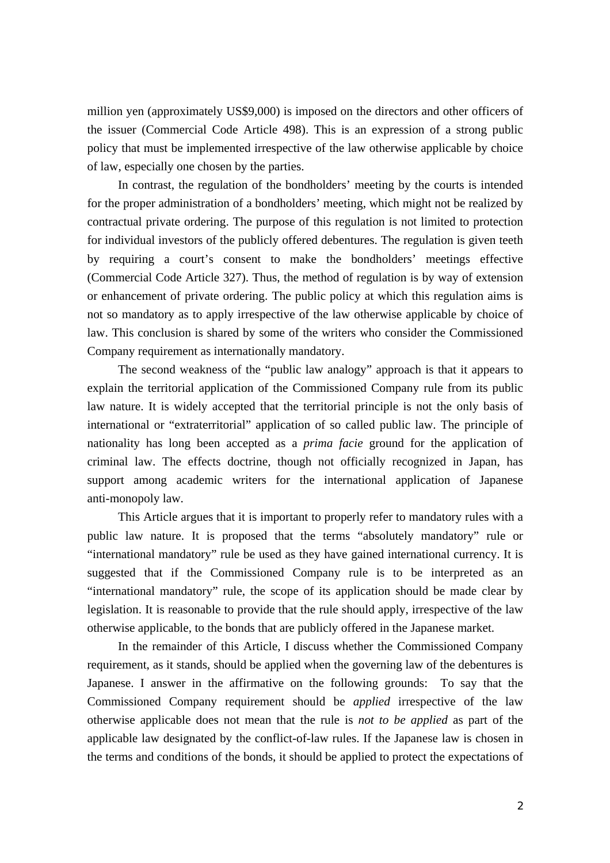million yen (approximately US\$9,000) is imposed on the directors and other officers of the issuer (Commercial Code Article 498). This is an expression of a strong public policy that must be implemented irrespective of the law otherwise applicable by choice of law, especially one chosen by the parties.

 In contrast, the regulation of the bondholders' meeting by the courts is intended for the proper administration of a bondholders' meeting, which might not be realized by contractual private ordering. The purpose of this regulation is not limited to protection for individual investors of the publicly offered debentures. The regulation is given teeth by requiring a court's consent to make the bondholders' meetings effective (Commercial Code Article 327). Thus, the method of regulation is by way of extension or enhancement of private ordering. The public policy at which this regulation aims is not so mandatory as to apply irrespective of the law otherwise applicable by choice of law. This conclusion is shared by some of the writers who consider the Commissioned Company requirement as internationally mandatory.

 The second weakness of the "public law analogy" approach is that it appears to explain the territorial application of the Commissioned Company rule from its public law nature. It is widely accepted that the territorial principle is not the only basis of international or "extraterritorial" application of so called public law. The principle of nationality has long been accepted as a *prima facie* ground for the application of criminal law. The effects doctrine, though not officially recognized in Japan, has support among academic writers for the international application of Japanese anti-monopoly law.

This Article argues that it is important to properly refer to mandatory rules with a public law nature. It is proposed that the terms "absolutely mandatory" rule or "international mandatory" rule be used as they have gained international currency. It is suggested that if the Commissioned Company rule is to be interpreted as an "international mandatory" rule, the scope of its application should be made clear by legislation. It is reasonable to provide that the rule should apply, irrespective of the law otherwise applicable, to the bonds that are publicly offered in the Japanese market.

In the remainder of this Article, I discuss whether the Commissioned Company requirement, as it stands, should be applied when the governing law of the debentures is Japanese. I answer in the affirmative on the following grounds: To say that the Commissioned Company requirement should be *applied* irrespective of the law otherwise applicable does not mean that the rule is *not to be applied* as part of the applicable law designated by the conflict-of-law rules. If the Japanese law is chosen in the terms and conditions of the bonds, it should be applied to protect the expectations of